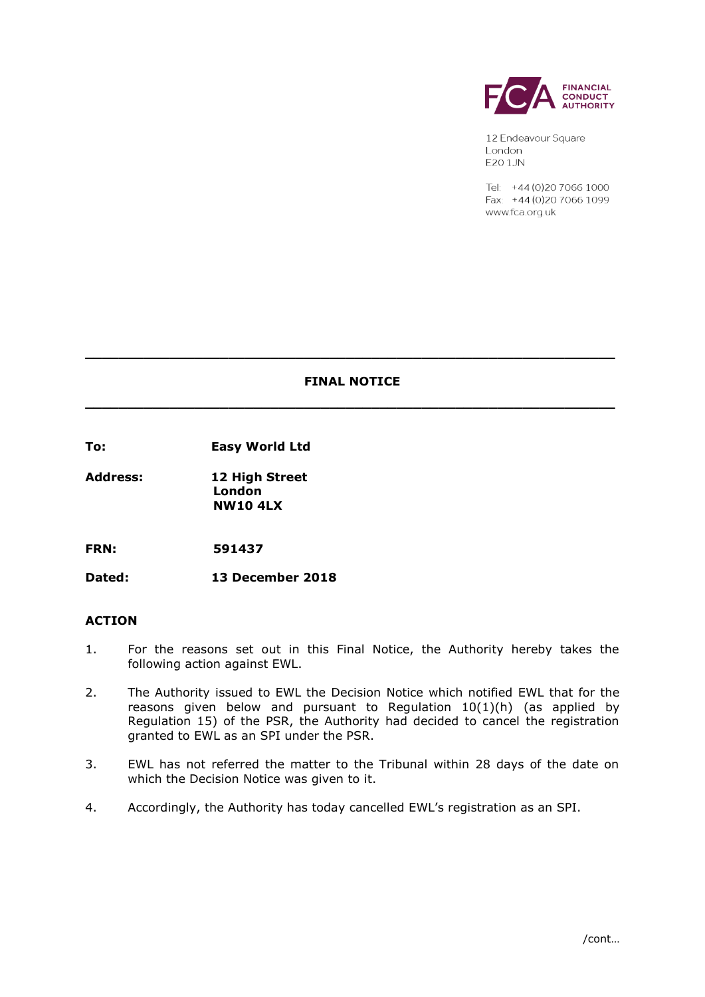

12 Endeavour Square London **E20 1JN** 

Tel: +44 (0) 20 7066 1000 Fax: +44 (0) 20 7066 1099 www.fca.org.uk

# **FINAL NOTICE \_\_\_\_\_\_\_\_\_\_\_\_\_\_\_\_\_\_\_\_\_\_\_\_\_\_\_\_\_\_\_\_\_\_\_\_\_\_\_\_\_\_\_\_\_\_\_\_\_\_\_\_\_\_\_\_\_\_\_\_\_\_\_**

**\_\_\_\_\_\_\_\_\_\_\_\_\_\_\_\_\_\_\_\_\_\_\_\_\_\_\_\_\_\_\_\_\_\_\_\_\_\_\_\_\_\_\_\_\_\_\_\_\_\_\_\_\_\_\_\_\_\_\_\_\_\_\_**

**To: Easy World Ltd**

**Address: 12 High Street London NW10 4LX**

**FRN: 591437**

**Dated: 13 December 2018**

## **ACTION**

- 1. For the reasons set out in this Final Notice, the Authority hereby takes the following action against EWL.
- 2. The Authority issued to EWL the Decision Notice which notified EWL that for the reasons given below and pursuant to Regulation 10(1)(h) (as applied by Regulation 15) of the PSR, the Authority had decided to cancel the registration granted to EWL as an SPI under the PSR.
- 3. EWL has not referred the matter to the Tribunal within 28 days of the date on which the Decision Notice was given to it.
- 4. Accordingly, the Authority has today cancelled EWL's registration as an SPI.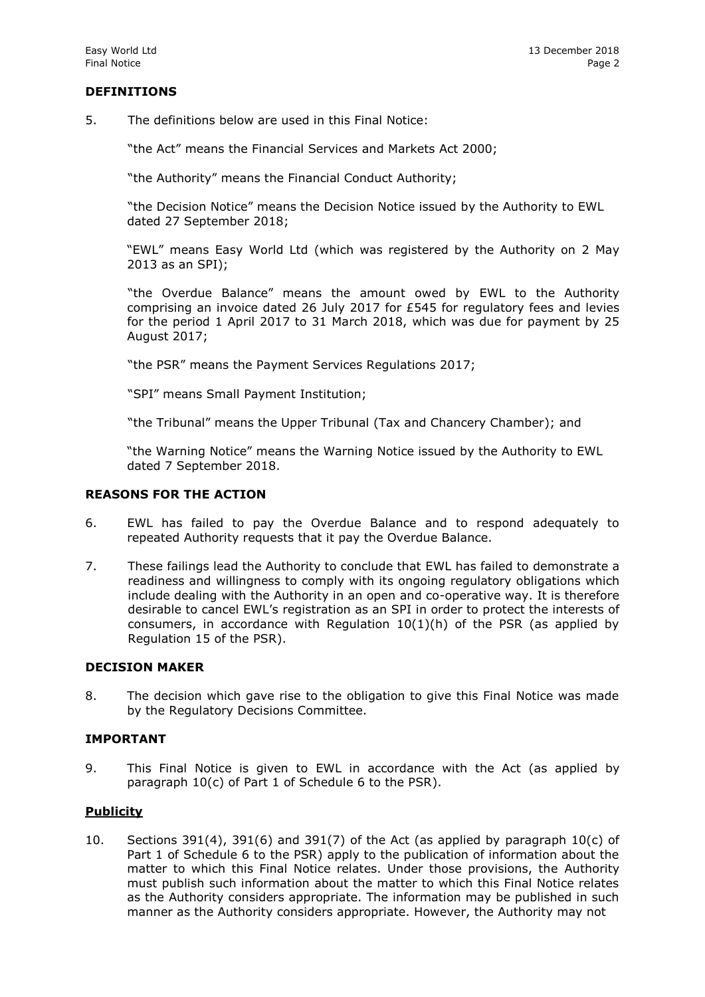## **DEFINITIONS**

5. The definitions below are used in this Final Notice:

"the Act" means the Financial Services and Markets Act 2000;

"the Authority" means the Financial Conduct Authority;

"the Decision Notice" means the Decision Notice issued by the Authority to EWL dated 27 September 2018;

"EWL" means Easy World Ltd (which was registered by the Authority on 2 May 2013 as an SPI);

"the Overdue Balance" means the amount owed by EWL to the Authority comprising an invoice dated 26 July 2017 for £545 for regulatory fees and levies for the period 1 April 2017 to 31 March 2018, which was due for payment by 25 August 2017;

"the PSR" means the Payment Services Regulations 2017;

"SPI" means Small Payment Institution;

"the Tribunal" means the Upper Tribunal (Tax and Chancery Chamber); and

"the Warning Notice" means the Warning Notice issued by the Authority to EWL dated 7 September 2018.

#### **REASONS FOR THE ACTION**

- 6. EWL has failed to pay the Overdue Balance and to respond adequately to repeated Authority requests that it pay the Overdue Balance.
- 7. These failings lead the Authority to conclude that EWL has failed to demonstrate a readiness and willingness to comply with its ongoing regulatory obligations which include dealing with the Authority in an open and co-operative way. It is therefore desirable to cancel EWL's registration as an SPI in order to protect the interests of consumers, in accordance with Regulation 10(1)(h) of the PSR (as applied by Regulation 15 of the PSR).

#### **DECISION MAKER**

8. The decision which gave rise to the obligation to give this Final Notice was made by the Regulatory Decisions Committee.

#### **IMPORTANT**

9. This Final Notice is given to EWL in accordance with the Act (as applied by paragraph 10(c) of Part 1 of Schedule 6 to the PSR).

## **Publicity**

10. Sections 391(4), 391(6) and 391(7) of the Act (as applied by paragraph  $10(c)$  of Part 1 of Schedule 6 to the PSR) apply to the publication of information about the matter to which this Final Notice relates. Under those provisions, the Authority must publish such information about the matter to which this Final Notice relates as the Authority considers appropriate. The information may be published in such manner as the Authority considers appropriate. However, the Authority may not